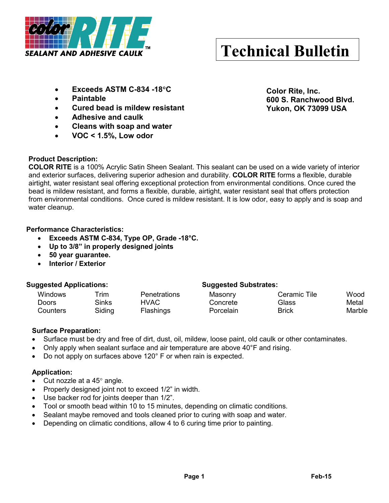

# **Technical Bulletin**

- **Exceeds ASTM C-834 -18**°**C**
- **Paintable**
- **Cured bead is mildew resistant**
- **Adhesive and caulk**
- **Cleans with soap and water**
- **VOC < 1.5%, Low odor**

## **Product Description:**

**COLOR RITE** is a 100% Acrylic Satin Sheen Sealant. This sealant can be used on a wide variety of interior and exterior surfaces, delivering superior adhesion and durability. **COLOR RITE** forms a flexible, durable airtight, water resistant seal offering exceptional protection from environmental conditions. Once cured the bead is mildew resistant, and forms a flexible, durable, airtight, water resistant seal that offers protection from environmental conditions. Once cured is mildew resistant. It is low odor, easy to apply and is soap and water cleanup.

## **Performance Characteristics:**

- **Exceeds ASTM C-834, Type OP, Grade -18°C.**
- **Up to 3/8" in properly designed joints**
- **50 year guarantee.**
- **Interior / Exterior**

## **Suggested Applications: Suggested Substrates:**

## Windows Trim Penetrations Masonry Ceramic Tile Wood Doors Sinks HVAC Concrete Glass Metal Counters Siding Flashings Porcelain Brick Marble

## **Surface Preparation:**

- Surface must be dry and free of dirt, dust, oil, mildew, loose paint, old caulk or other contaminates.
- Only apply when sealant surface and air temperature are above 40°F and rising.
- Do not apply on surfaces above 120° F or when rain is expected.

## **Application:**

- Cut nozzle at a  $45^\circ$  angle.
- Properly designed joint not to exceed 1/2" in width.
- Use backer rod for joints deeper than  $1/2$ ".
- Tool or smooth bead within 10 to 15 minutes, depending on climatic conditions.
- Sealant maybe removed and tools cleaned prior to curing with soap and water.
- Depending on climatic conditions, allow 4 to 6 curing time prior to painting.

**Color Rite, Inc. 600 S. Ranchwood Blvd. Yukon, OK 73099 USA**